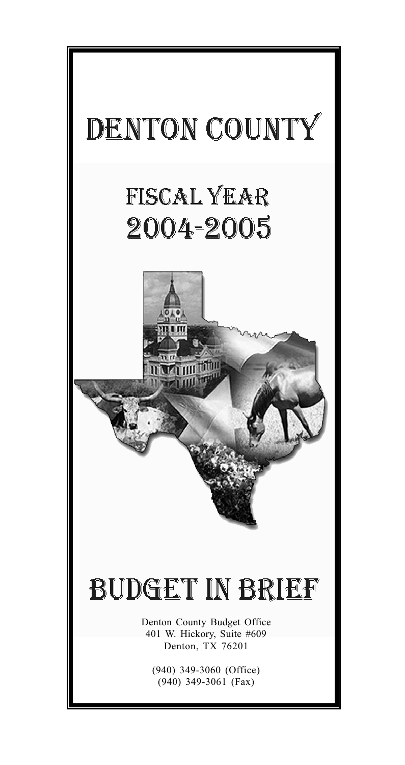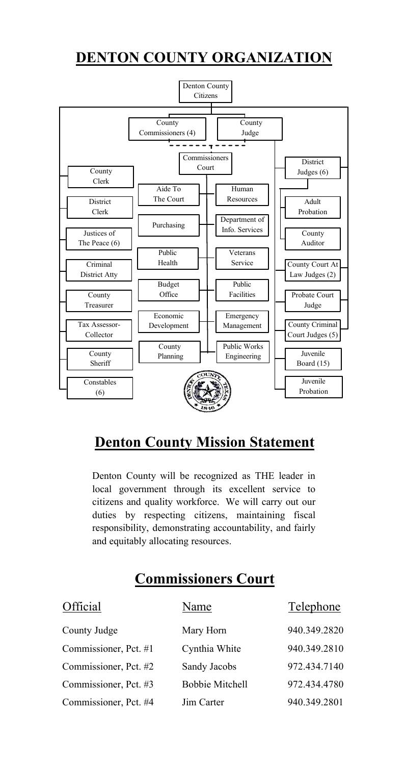## **DENTON COUNTY ORGANIZATION**



## **Denton County Mission Statement**

Denton County will be recognized as THE leader in local government through its excellent service to citizens and quality workforce. We will carry out our duties by respecting citizens, maintaining fiscal responsibility, demonstrating accountability, and fairly and equitably allocating resources.

# **Commissioners Court**

| Official              | Name                   | Telephone    |
|-----------------------|------------------------|--------------|
| County Judge          | Mary Horn              | 940.349.2820 |
| Commissioner, Pct. #1 | Cynthia White          | 940.349.2810 |
| Commissioner, Pct. #2 | Sandy Jacobs           | 972.434.7140 |
| Commissioner, Pct. #3 | <b>Bobbie Mitchell</b> | 972.434.4780 |
| Commissioner, Pct. #4 | Jim Carter             | 940.349.2801 |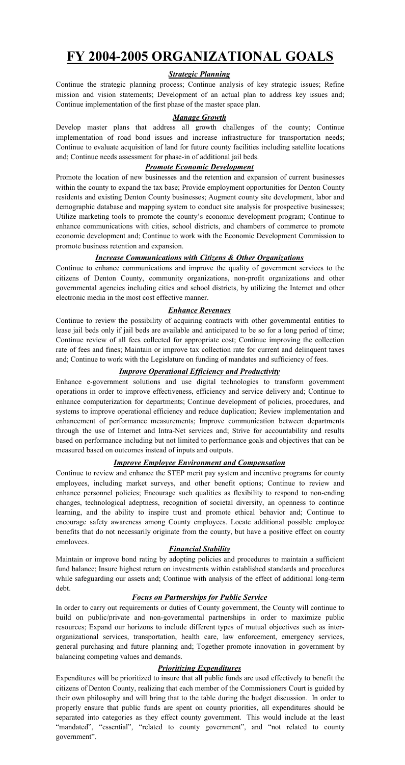## **FY 2004-2005 ORGANIZATIONAL GOALS**

### *Strategic Planning*

Continue the strategic planning process; Continue analysis of key strategic issues; Refine mission and vision statements; Development of an actual plan to address key issues and; Continue implementation of the first phase of the master space plan.

#### *Manage Growth*

Develop master plans that address all growth challenges of the county; Continue implementation of road bond issues and increase infrastructure for transportation needs; Continue to evaluate acquisition of land for future county facilities including satellite locations and; Continue needs assessment for phase-in of additional jail beds.

### *Promote Economic Development*

Promote the location of new businesses and the retention and expansion of current businesses within the county to expand the tax base; Provide employment opportunities for Denton County residents and existing Denton County businesses; Augment county site development, labor and demographic database and mapping system to conduct site analysis for prospective businesses; Utilize marketing tools to promote the county's economic development program; Continue to enhance communications with cities, school districts, and chambers of commerce to promote economic development and; Continue to work with the Economic Development Commission to promote business retention and expansion.

### *Increase Communications with Citizens & Other Organizations*

Continue to enhance communications and improve the quality of government services to the citizens of Denton County, community organizations, non-profit organizations and other governmental agencies including cities and school districts, by utilizing the Internet and other electronic media in the most cost effective manner.

#### *Enhance Revenues*

Continue to review the possibility of acquiring contracts with other governmental entities to lease jail beds only if jail beds are available and anticipated to be so for a long period of time; Continue review of all fees collected for appropriate cost; Continue improving the collection rate of fees and fines; Maintain or improve tax collection rate for current and delinquent taxes and; Continue to work with the Legislature on funding of mandates and sufficiency of fees.

### *Improve Operational Efficiency and Productivity*

Enhance e-government solutions and use digital technologies to transform government operations in order to improve effectiveness, efficiency and service delivery and; Continue to enhance computerization for departments; Continue development of policies, procedures, and systems to improve operational efficiency and reduce duplication; Review implementation and enhancement of performance measurements; Improve communication between departments through the use of Internet and Intra-Net services and; Strive for accountability and results based on performance including but not limited to performance goals and objectives that can be measured based on outcomes instead of inputs and outputs.

### *Improve Employee Environment and Compensation*

Continue to review and enhance the STEP merit pay system and incentive programs for county employees, including market surveys, and other benefit options; Continue to review and enhance personnel policies; Encourage such qualities as flexibility to respond to non-ending changes, technological adeptness, recognition of societal diversity, an openness to continue learning, and the ability to inspire trust and promote ethical behavior and; Continue to encourage safety awareness among County employees. Locate additional possible employee benefits that do not necessarily originate from the county, but have a positive effect on county employees.

#### *Financial Stability*

Maintain or improve bond rating by adopting policies and procedures to maintain a sufficient fund balance; Insure highest return on investments within established standards and procedures while safeguarding our assets and; Continue with analysis of the effect of additional long-term debt.

### *Focus on Partnerships for Public Service*

In order to carry out requirements or duties of County government, the County will continue to build on public/private and non-governmental partnerships in order to maximize public resources; Expand our horizons to include different types of mutual objectives such as interorganizational services, transportation, health care, law enforcement, emergency services, general purchasing and future planning and; Together promote innovation in government by balancing competing values and demands.

#### *Prioritizing Expenditures*

Expenditures will be prioritized to insure that all public funds are used effectively to benefit the citizens of Denton County, realizing that each member of the Commissioners Court is guided by their own philosophy and will bring that to the table during the budget discussion. In order to properly ensure that public funds are spent on county priorities, all expenditures should be separated into categories as they effect county government. This would include at the least "mandated", "essential", "related to county government", and "not related to county government".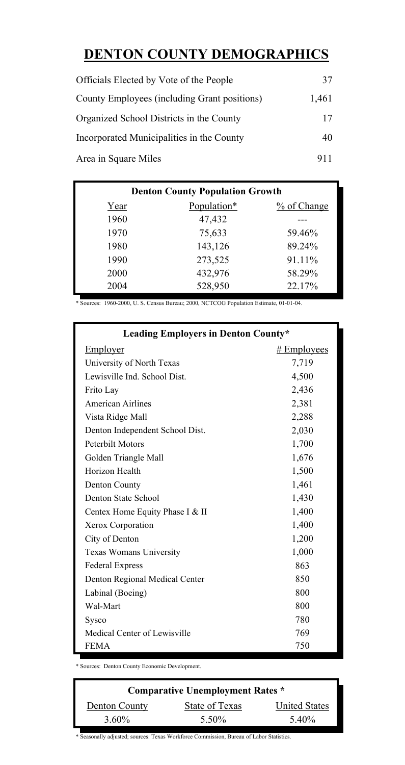# **DENTON COUNTY DEMOGRAPHICS**

| Officials Elected by Vote of the People      | 37    |
|----------------------------------------------|-------|
| County Employees (including Grant positions) | 1.461 |
| Organized School Districts in the County     | 17    |
| Incorporated Municipalities in the County    | 40    |
| Area in Square Miles                         | 911   |

| <b>Denton County Population Growth</b> |             |             |  |  |  |
|----------------------------------------|-------------|-------------|--|--|--|
| Year                                   | Population* | % of Change |  |  |  |
| 1960                                   | 47,432      |             |  |  |  |
| 1970                                   | 75,633      | 59.46%      |  |  |  |
| 1980                                   | 143,126     | 89.24%      |  |  |  |
| 1990                                   | 273,525     | 91.11%      |  |  |  |
| 2000                                   | 432,976     | 58.29%      |  |  |  |
| 2004                                   | 528,950     | 22.17%      |  |  |  |

\* Sources: 1960-2000, U. S. Census Bureau; 2000, NCTCOG Population Estimate, 01-01-04.

| <b>Leading Employers in Denton County*</b> |               |  |  |  |
|--------------------------------------------|---------------|--|--|--|
| Employer                                   | $#$ Employees |  |  |  |
| University of North Texas                  | 7,719         |  |  |  |
| Lewisville Ind. School Dist.               | 4,500         |  |  |  |
| Frito Lay                                  | 2,436         |  |  |  |
| American Airlines                          | 2,381         |  |  |  |
| Vista Ridge Mall                           | 2,288         |  |  |  |
| Denton Independent School Dist.            | 2,030         |  |  |  |
| Peterbilt Motors                           | 1,700         |  |  |  |
| Golden Triangle Mall                       | 1,676         |  |  |  |
| Horizon Health                             | 1,500         |  |  |  |
| Denton County                              | 1,461         |  |  |  |
| Denton State School                        | 1,430         |  |  |  |
| Centex Home Equity Phase I & II            | 1,400         |  |  |  |
| Xerox Corporation                          | 1,400         |  |  |  |
| City of Denton                             | 1,200         |  |  |  |
| Texas Womans University                    | 1,000         |  |  |  |
| Federal Express                            | 863           |  |  |  |
| Denton Regional Medical Center             | 850           |  |  |  |
| Labinal (Boeing)                           | 800           |  |  |  |
| Wal-Mart                                   | 800           |  |  |  |
| Sysco                                      | 780           |  |  |  |
| Medical Center of Lewisville               | 769           |  |  |  |
| <b>FEMA</b>                                | 750           |  |  |  |

\* Sources: Denton County Economic Development.

| <b>Comparative Unemployment Rates *</b> |                |                      |  |  |  |
|-----------------------------------------|----------------|----------------------|--|--|--|
| Denton County                           | State of Texas | <b>United States</b> |  |  |  |
| 3.60%                                   | 5.50%          | 5.40%                |  |  |  |

\* Seasonally adjusted; sources: Texas Workforce Commission, Bureau of Labor Statistics.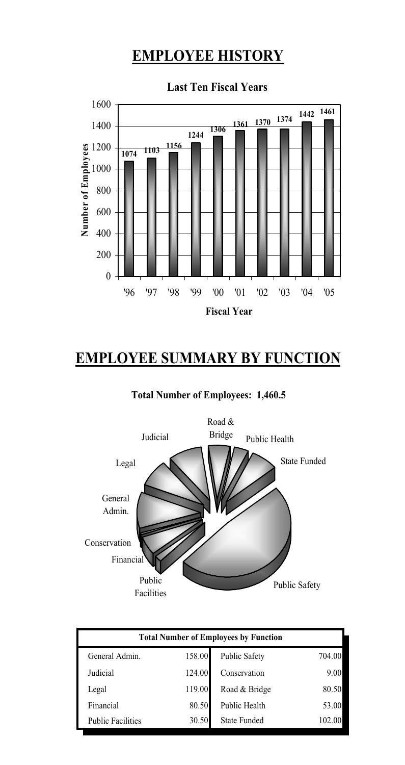# **EMPLOYEE HISTORY**



### **Last Ten Fiscal Years**

# **EMPLOYEE SUMMARY BY FUNCTION**

### **Total Number of Employees: 1,460.5**



| <b>Total Number of Employees by Function</b> |        |                      |        |  |
|----------------------------------------------|--------|----------------------|--------|--|
| General Admin.                               | 158.00 | <b>Public Safety</b> | 704.00 |  |
| Judicial                                     | 124.00 | Conservation         | 9.00   |  |
| Legal                                        | 119.00 | Road & Bridge        | 80.50  |  |
| Financial                                    | 80.50  | Public Health        | 53.00  |  |
| <b>Public Facilities</b>                     | 30.50  | <b>State Funded</b>  | 102.00 |  |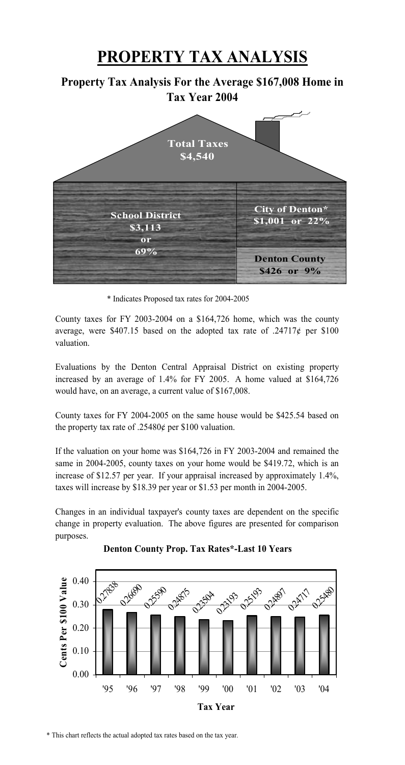# **PROPERTY TAX ANALYSIS**

### **Property Tax Analysis For the Average \$167,008 Home in Tax Year 2004**



\* Indicates Proposed tax rates for 2004-2005

County taxes for FY 2003-2004 on a \$164,726 home, which was the county average, were \$407.15 based on the adopted tax rate of  $.24717¢$  per \$100 valuation.

Evaluations by the Denton Central Appraisal District on existing property increased by an average of 1.4% for FY 2005. A home valued at \$164,726 would have, on an average, a current value of \$167,008.

County taxes for FY 2004-2005 on the same house would be \$425.54 based on the property tax rate of .25480¢ per \$100 valuation.

If the valuation on your home was \$164,726 in FY 2003-2004 and remained the same in 2004-2005, county taxes on your home would be \$419.72, which is an increase of \$12.57 per year. If your appraisal increased by approximately 1.4%, taxes will increase by \$18.39 per year or \$1.53 per month in 2004-2005.

Changes in an individual taxpayer's county taxes are dependent on the specific change in property evaluation. The above figures are presented for comparison purposes.



**Denton County Prop. Tax Rates\*-Last 10 Years**

\* This chart reflects the actual adopted tax rates based on the tax year.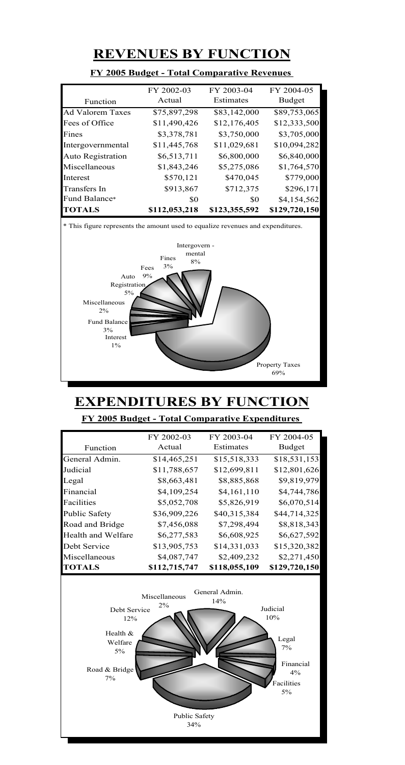## **REVENUES BY FUNCTION**

|                          | FY 2002-03    | FY 2003-04    | FY 2004-05    |
|--------------------------|---------------|---------------|---------------|
| Function                 | Actual        | Estimates     | Budget        |
| Ad Valorem Taxes         | \$75,897,298  | \$83,142,000  | \$89,753,065  |
| Fees of Office           | \$11,490,426  | \$12,176,405  | \$12,333,500  |
| Fines                    | \$3,378,781   | \$3,750,000   | \$3,705,000   |
| Intergovernmental        | \$11,445,768  | \$11,029,681  | \$10,094,282  |
| <b>Auto Registration</b> | \$6,513,711   | \$6,800,000   | \$6,840,000   |
| Miscellaneous            | \$1,843,246   | \$5,275,086   | \$1,764,570   |
| Interest                 | \$570,121     | \$470,045     | \$779,000     |
| Transfers In             | \$913,867     | \$712,375     | \$296,171     |
| Fund Balance*            | S0            | SO.           | \$4,154,562   |
| <b>TOTALS</b>            | \$112,053,218 | \$123,355,592 | \$129,720,150 |

### **FY 2005 Budget - Total Comparative Revenues**





## **EXPENDITURES BY FUNCTION**

### **FY 2005 Budget - Total Comparative Expenditures**

|                      | FY 2002-03    | FY 2003-04    | FY 2004-05    |
|----------------------|---------------|---------------|---------------|
| Function             | Actual        | Estimates     | Budget        |
| General Admin.       | \$14,465,251  | \$15,518,333  | \$18,531,153  |
| Judicial             | \$11,788,657  | \$12,699,811  | \$12,801,626  |
| Legal                | \$8,663,481   | \$8,885,868   | \$9,819,979   |
| Financial            | \$4,109,254   | \$4,161,110   | \$4,744,786   |
| Facilities           | \$5,052,708   | \$5,826,919   | \$6,070,514   |
| <b>Public Safety</b> | \$36,909,226  | \$40,315,384  | \$44,714,325  |
| Road and Bridge      | \$7,456,088   | \$7,298,494   | \$8,818,343   |
| Health and Welfare   | \$6,277,583   | \$6,608,925   | \$6,627,592   |
| Debt Service         | \$13,905,753  | \$14,331,033  | \$15,320,382  |
| Miscellaneous        | \$4,087,747   | \$2,409,232   | \$2,271,450   |
| <b>TOTALS</b>        | \$112,715,747 | \$118,055,109 | \$129,720,150 |